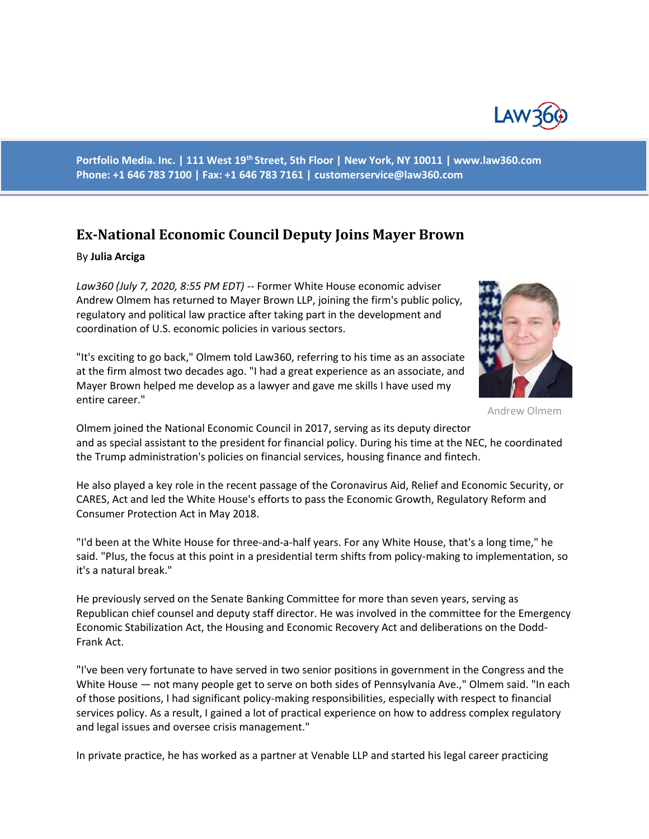

**Portfolio Media. Inc. | 111 West 19th Street, 5th Floor | New York, NY 10011 | www.law360.com Phone: +1 646 783 7100 | Fax: +1 646 783 7161 | customerservice@law360.com**

## **Ex-National Economic Council Deputy Joins Mayer Brown**

## By **Julia Arciga**

*Law360 (July 7, 2020, 8:55 PM EDT)* -- Former White House economic adviser Andrew Olmem has returned to Mayer Brown LLP, joining the firm's public policy, regulatory and political law practice after taking part in the development and coordination of U.S. economic policies in various sectors.

"It's exciting to go back," Olmem told Law360, referring to his time as an associate at the firm almost two decades ago. "I had a great experience as an associate, and Mayer Brown helped me develop as a lawyer and gave me skills I have used my entire career."



Andrew Olmem

Olmem joined the National Economic Council in 2017, serving as its deputy director and as special assistant to the president for financial policy. During his time at the NEC, he coordinated the Trump administration's policies on financial services, housing finance and fintech.

He also played a key role in the recent passage of the Coronavirus Aid, Relief and Economic Security, or CARES, Act and led the White House's efforts to pass the Economic Growth, Regulatory Reform and Consumer Protection Act in May 2018.

"I'd been at the White House for three-and-a-half years. For any White House, that's a long time," he said. "Plus, the focus at this point in a presidential term shifts from policy-making to implementation, so it's a natural break."

He previously served on the Senate Banking Committee for more than seven years, serving as Republican chief counsel and deputy staff director. He was involved in the committee for the Emergency Economic Stabilization Act, the Housing and Economic Recovery Act and deliberations on the Dodd-Frank Act.

"I've been very fortunate to have served in two senior positions in government in the Congress and the White House — not many people get to serve on both sides of Pennsylvania Ave.," Olmem said. "In each of those positions, I had significant policy-making responsibilities, especially with respect to financial services policy. As a result, I gained a lot of practical experience on how to address complex regulatory and legal issues and oversee crisis management."

In private practice, he has worked as a partner at Venable LLP and started his legal career practicing